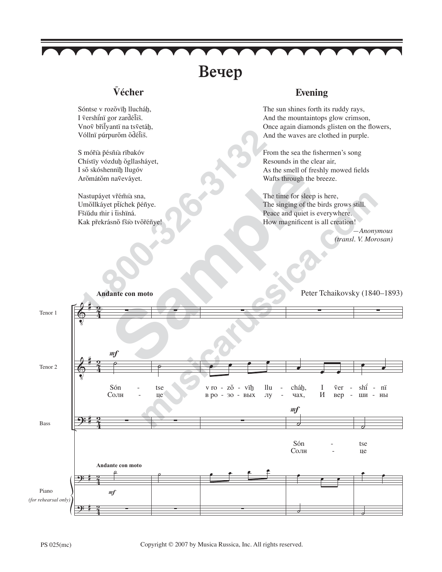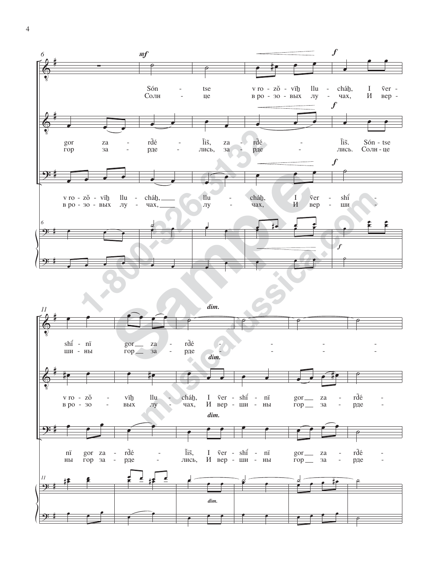



 $\overline{4}$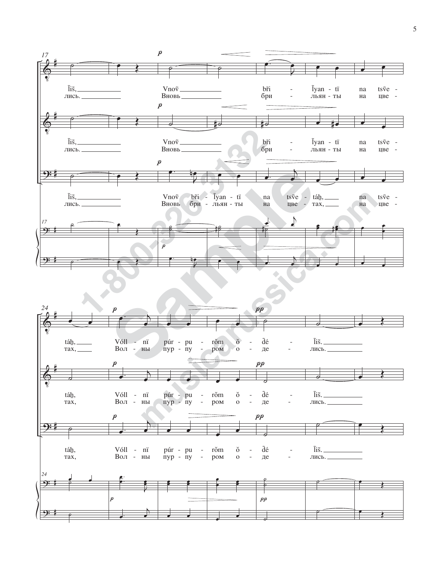

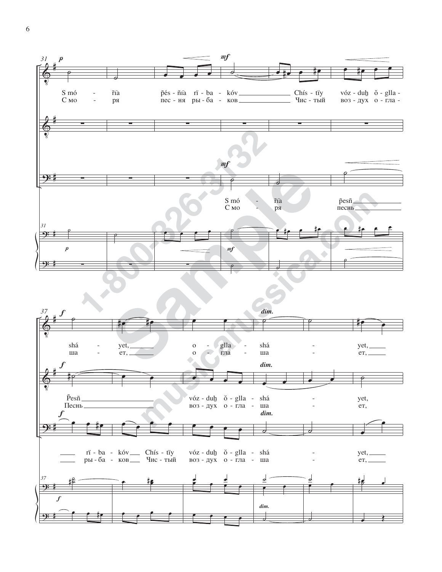

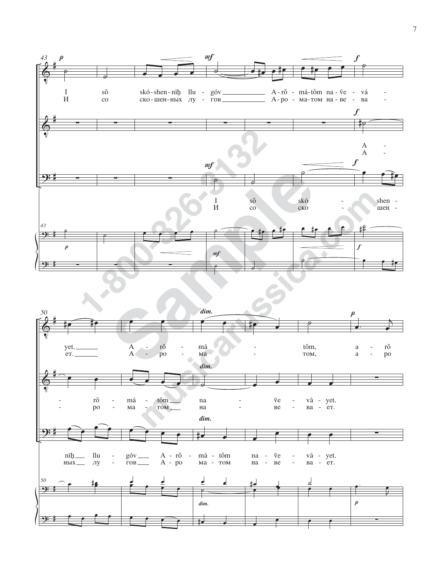